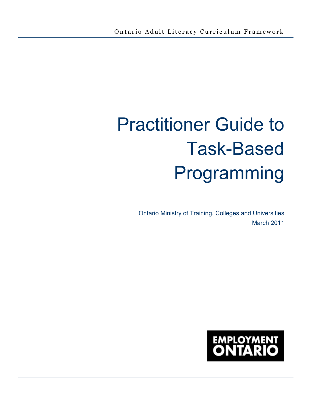# Practitioner Guide to Task-Based Programming

Ontario Ministry of Training, Colleges and Universities March 2011

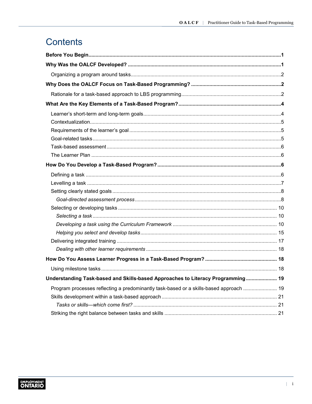# Contents

| Understanding Task-based and Skills-based Approaches to Literacy Programming 19        |  |
|----------------------------------------------------------------------------------------|--|
| Program processes reflecting a predominantly task-based or a skills-based approach  19 |  |
|                                                                                        |  |
|                                                                                        |  |
|                                                                                        |  |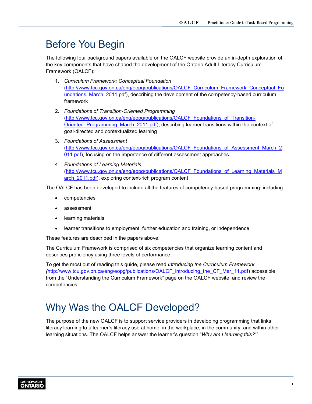# <span id="page-2-0"></span>Before You Begin

The following four background papers available on the OALCF website provide an in-depth exploration of the key components that have shaped the development of the Ontario Adult Literacy Curriculum Framework (OALCF):

- 1. *Curriculum Framework: Conceptual Foundation* [\(http://www.tcu.gov.on.ca/eng/eopg/publications/OALCF\\_Curriculum\\_Framework\\_Conceptual\\_Fo](http://www.tcu.gov.on.ca/eng/eopg/publications/OALCF_Curriculum_Framework_Conceptual_Foundations_March_2011.pdf) undations March 2011.pdf), describing the development of the competency-based curriculum framework
- 2. *Foundations of Transition-Oriented Programming* (http://www.tcu.gov.on.ca/eng/eopg/publications/OALCF\_Foundations\_of\_Transition-[Oriented\\_Programming\\_March\\_2011.pdf\), describing learner transitions within the co](http://www.tcu.gov.on.ca/eng/eopg/publications/OALCF_Foundations_of_Transition-Oriented_Programming_March_2011.pdf)ntext of goal-directed and contextualized learning
- 3. *Foundations of Assessment* [\(http://www.tcu.gov.on.ca/eng/eopg/publications/OALCF\\_Foundations\\_of\\_Assessment\\_March\\_2](http://www.tcu.gov.on.ca/eng/eopg/publications/OALCF_Foundations_of_Assessment_March_2011.pdf) 011.pdf), focusing on the importance of different assessment approaches
- 4. *Foundations of Learning Materials* [\(http://www.tcu.gov.on.ca/eng/eopg/publications/OALCF\\_Foundations\\_of\\_Learning\\_Materials\\_M](http://www.tcu.gov.on.ca/eng/eopg/publications/OALCF_Foundations_of_Learning_Materials_March_2011.pdf) arch 2011.pdf), exploring context-rich program content

The OALCF has been developed to include all the features of competency-based programming, including

- competencies
- assessment
- learning materials
- learner transitions to employment, further education and training, or independence

These features are described in the papers above.

The Curriculum Framework is comprised of six competencies that organize learning content and describes proficiency using three levels of performance.

To get the most out of reading this guide, please read *Introducing the Curriculum Framework (*[http://www.tcu.gov.on.ca/eng/eopg/publications/OALCF\\_introducing\\_the\\_CF\\_Mar\\_11.pdf](http://www.tcu.gov.on.ca/eng/eopg/publications/OALCF_introducing_the_CF_Mar_11.pdf)) accessible from the "Understanding the Curriculum Framework" page on the OALCF website, and review the competencies.

# Why Was the OALCF Developed?

The purpose of the new OALCF is to support service providers in developing programming that links literacy learning to a learner's literacy use at home, in the workplace, in the community, and within other learning situations. The OALCF helps answer the learner's question "*Why am I learning this?"*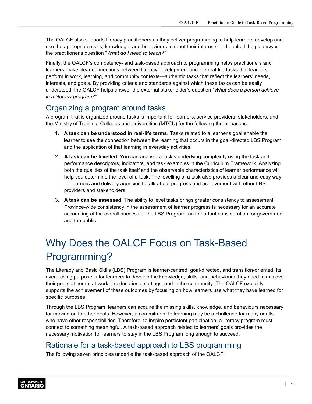<span id="page-3-0"></span>The OALCF also supports literacy practitioners as they deliver programming to help learners develop and use the appropriate skills, knowledge, and behaviours to meet their interests and goals. It helps answer the practitioner's question "*What do I need to teach?"*

Finally, the OALCF's competency- and task-based approach to programming helps practitioners and learners make clear connections between literacy development and the real-life tasks that learners perform in work, learning, and community contexts—authentic tasks that reflect the learners' needs, interests, and goals. By providing criteria and standards against which these tasks can be easily understood, the OALCF helps answer the external stakeholder's question *"What does a person achieve in a literacy program?"*

# Organizing a program around tasks

A program that is organized around tasks is important for learners, service providers, stakeholders, and the Ministry of Training, Colleges and Universities (MTCU) for the following three reasons:

- 1. **A task can be understood in real-life terms**. Tasks related to a learner's goal enable the learner to see the connection between the learning that occurs in the goal-directed LBS Program and the application of that learning in everyday activities.
- 2. **A task can be levelled**. You can analyze a task's underlying complexity using the task and performance descriptors, indicators, and task examples in the Curriculum Framework. Analyzing both the qualities of the task itself and the observable characteristics of learner performance will help you determine the level of a task. The levelling of a task also provides a clear and easy way for learners and delivery agencies to talk about progress and achievement with other LBS providers and stakeholders.
- 3. **A task can be assessed**. The ability to level tasks brings greater consistency to assessment. Province-wide consistency in the assessment of learner progress is necessary for an accurate accounting of the overall success of the LBS Program, an important consideration for government and the public.

# Why Does the OALCF Focus on Task-Based Programming?

The Literacy and Basic Skills (LBS) Program is learner-centred, goal-directed, and transition-oriented. Its overarching purpose is for learners to develop the knowledge, skills, and behaviours they need to achieve their goals at home, at work, in educational settings, and in the community. The OALCF explicitly supports the achievement of these outcomes by focusing on how learners use what they have learned for specific purposes.

Through the LBS Program, learners can acquire the missing skills, knowledge, and behaviours necessary for moving on to other goals. However, a commitment to learning may be a challenge for many adults who have other responsibilities. Therefore, to inspire persistent participation, a literacy program must connect to something meaningful. A task-based approach related to learners' goals provides the necessary motivation for learners to stay in the LBS Program long enough to succeed.

# Rationale for a task-based approach to LBS programming

The following seven principles underlie the task-based approach of the OALCF: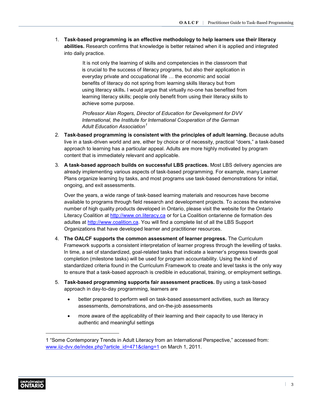1. **Task-based programming is an effective methodology to help learners use their literacy abilities.** Research confirms that knowledge is better retained when it is applied and integrated into daily practice.

> It is not only the learning of skills and competencies in the classroom that is crucial to the success of literacy programs, but also their application in everyday private and occupational life … the economic and social benefits of literacy do not spring from learning skills literacy but from using literacy skills**.** I would argue that virtually no-one has benefited from learning literacy skills; people only benefit from using their literacy skills to achieve some purpose.

*Professor Alan Rogers, Director of Education for Development for DVV International, the Institute for International Cooperation of the German Adult Education Association<sup>1</sup>*

- 2. **Task-based programming is consistent with the principles of adult learning.** Because adults live in a task-driven world and are, either by choice or of necessity, practical "doers," a task-based approach to learning has a particular appeal. Adults are more highly motivated by program content that is immediately relevant and applicable.
- 3. **A task-based approach builds on successful LBS practices.** Most LBS delivery agencies are already implementing various aspects of task-based programming. For example, many Learner Plans organize learning by tasks, and most programs use task-based demonstrations for initial, ongoing, and exit assessments.

Over the years, a wide range of task-based learning materials and resources have become available to programs through field research and development projects. To access the extensive number of high quality products developed in Ontario, please visit the website for the Ontario Literacy Coalition at<http://www.on.literacy.ca>or for La Coalition ontarienne de formation des adultes at [http://www.coalition.ca.](http://www.coalition.ca) You will find a complete list of all the LBS Support Organizations that have developed learner and practitioner resources.

- 4. **The OALCF supports the common assessment of learner progress.** The Curriculum Framework supports a consistent interpretation of learner progress through the levelling of tasks. In time, a set of standardized, goal-related tasks that indicate a learner's progress towards goal completion (milestone tasks) will be used for program accountability. Using the kind of standardized criteria found in the Curriculum Framework to create and level tasks is the only way to ensure that a task-based approach is credible in educational, training, or employment settings.
- 5. **Task-based programming supports fair assessment practices.** By using a task-based approach in day-to-day programming, learners are
	- better prepared to perform well on task-based assessment activities, such as literacy assessments, demonstrations, and on-the-job assessments
	- more aware of the applicability of their learning and their capacity to use literacy in authentic and meaningful settings

<sup>1</sup> "Some Contemporary Trends in Adult Literacy from an International Perspective," accessed from: [www.iiz-dvv.de/index.php?article\\_id=471&clang=1](http://www.iiz-dvv.de/index.php?article_id=471&clang=1) on March 1, 2011.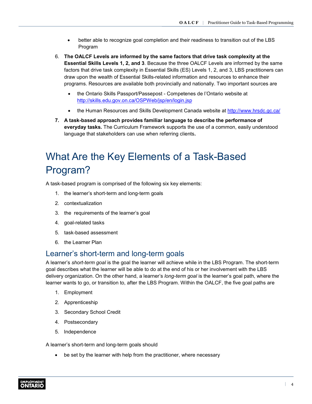- better able to recognize goal completion and their readiness to transition out of the LBS Program
- <span id="page-5-0"></span>6. **The OALCF Levels are informed by the same factors that drive task complexity at the Essential Skills Levels 1, 2, and 3**. Because the three OALCF Levels are informed by the same factors that drive task complexity in Essential Skills (ES) Levels 1, 2, and 3, LBS practitioners can draw upon the wealth of Essential Skills-related information and resources to enhance their programs. Resources are available both provincially and nationally. Two important sources are
	- the Ontario Skills Passport/Passepost Competenes de l'Ontario website at <http://skills.edu.gov.on.ca/OSPWeb/jsp/en/login.jsp>
	- the Human Resources and Skills Development Canada website at <http://www.hrsdc.gc.ca/>
- **7. A task-based approach provides familiar language to describe the performance of everyday tasks.** The Curriculum Framework supports the use of a common, easily understood language that stakeholders can use when referring clients**.**

# What Are the Key Elements of a Task-Based Program?

A task-based program is comprised of the following six key elements:

- 1. the learner's short-term and long-term goals
- 2. contextualization
- 3. the requirements of the learner's goal
- 4. goal-related tasks
- 5. task-based assessment
- 6. the Learner Plan

### Learner's short-term and long-term goals

A learner's *short-term goal* is the goal the learner will achieve while in the LBS Program. The short-term goal describes what the learner will be able to do at the end of his or her involvement with the LBS delivery organization. On the other hand, a learner's *long-term goal* is the learner's goal path, where the learner wants to go, or transition to, after the LBS Program. Within the OALCF, the five goal paths are

- 1. Employment
- 2. Apprenticeship
- 3. Secondary School Credit
- 4. Postsecondary
- 5. Independence

A learner's short-term and long-term goals should

• be set by the learner with help from the practitioner, where necessary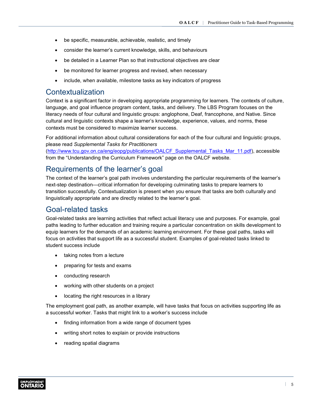- <span id="page-6-0"></span>• be specific, measurable, achievable, realistic, and timely
- consider the learner's current knowledge, skills, and behaviours
- be detailed in a Learner Plan so that instructional objectives are clear
- be monitored for learner progress and revised, when necessary
- include, when available, milestone tasks as key indicators of progress

### Contextualization

Context is a significant factor in developing appropriate programming for learners. The contexts of culture, language, and goal influence program content, tasks, and delivery. The LBS Program focuses on the literacy needs of four cultural and linguistic groups: anglophone, Deaf, francophone, and Native. Since cultural and linguistic contexts shape a learner's knowledge, experience, values, and norms, these contexts must be considered to maximize learner success.

For additional information about cultural considerations for each of the four cultural and linguistic groups, please read *Supplemental Tasks for Practitioners*

[\(http://www.tcu.gov.on.ca/eng/eopg/publications/OALCF\\_Supplemental\\_Tasks\\_Mar\\_11.pdf](http://www.tcu.gov.on.ca/eng/eopg/publications/OALCF_Supplemental_Tasks_Mar_11.pdf)), accessible from the "Understanding the Curriculum Framework" page on the OALCF website.

### Requirements of the learner's goal

The context of the learner's goal path involves understanding the particular requirements of the learner's next-step destination—critical information for developing culminating tasks to prepare learners to transition successfully. Contextualization is present when you ensure that tasks are both culturally and linguistically appropriate and are directly related to the learner's goal.

### Goal-related tasks

Goal-related tasks are learning activities that reflect actual literacy use and purposes. For example, goal paths leading to further education and training require a particular concentration on skills development to equip learners for the demands of an academic learning environment. For these goal paths, tasks will focus on activities that support life as a successful student. Examples of goal-related tasks linked to student success include

- taking notes from a lecture
- preparing for tests and exams
- conducting research
- working with other students on a project
- locating the right resources in a library

The employment goal path, as another example, will have tasks that focus on activities supporting life as a successful worker. Tasks that might link to a worker's success include

- finding information from a wide range of document types
- writing short notes to explain or provide instructions
- reading spatial diagrams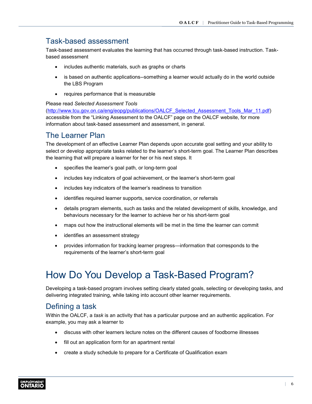# <span id="page-7-0"></span>Task-based assessment

Task-based assessment evaluates the learning that has occurred through task-based instruction. Taskbased assessment

- includes authentic materials, such as graphs or charts
- is based on authentic applications--something a learner would actually do in the world outside the LBS Program
- requires performance that is measurable

#### Please read *Selected Assessment Tools*

[\(http://www.tcu.gov.on.ca/eng/eopg/publications/OALCF\\_Selected\\_Assessment\\_Tools\\_Mar\\_11.pdf](http://www.tcu.gov.on.ca/eng/eopg/publications/OALCF_Selected_Assessment_Tools_Mar_11.pdf)) accessible from the "Linking Assessment to the OALCF" page on the OALCF website, for more information about task-based assessment and assessment, in general.

### The Learner Plan

The development of an effective Learner Plan depends upon accurate goal setting and your ability to select or develop appropriate tasks related to the learner's short-term goal. The Learner Plan describes the learning that will prepare a learner for her or his next steps. It

- specifies the learner's goal path, or long-term goal
- includes key indicators of goal achievement, or the learner's short-term goal
- includes key indicators of the learner's readiness to transition
- identifies required learner supports, service coordination, or referrals
- details program elements, such as tasks and the related development of skills, knowledge, and behaviours necessary for the learner to achieve her or his short-term goal
- maps out how the instructional elements will be met in the time the learner can commit
- identifies an assessment strategy
- provides information for tracking learner progress—information that corresponds to the requirements of the learner's short-term goal

# How Do You Develop a Task-Based Program?

Developing a task-based program involves setting clearly stated goals, selecting or developing tasks, and delivering integrated training, while taking into account other learner requirements.

# Defining a task

Within the OALCF, a *task* is an activity that has a particular purpose and an authentic application. For example, you may ask a learner to

- discuss with other learners lecture notes on the different causes of foodborne illnesses
- fill out an application form for an apartment rental
- create a study schedule to prepare for a Certificate of Qualification exam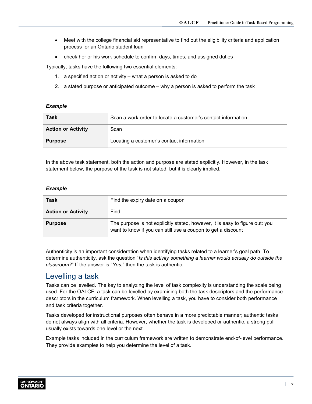- <span id="page-8-0"></span>• Meet with the college financial aid representative to find out the eligibility criteria and application process for an Ontario student loan
- check her or his work schedule to confirm days, times, and assigned duties

Typically, tasks have the following two essential elements:

- 1. a specified action or activity what a person is asked to do
- 2. a stated purpose or anticipated outcome why a person is asked to perform the task

#### *Example*

| Task                      | Scan a work order to locate a customer's contact information |  |  |
|---------------------------|--------------------------------------------------------------|--|--|
| <b>Action or Activity</b> | Scan                                                         |  |  |
| <b>Purpose</b>            | Locating a customer's contact information                    |  |  |

In the above task statement, both the action and purpose are stated explicitly. However, in the task statement below, the purpose of the task is not stated, but it is clearly implied.

#### *Example*

| Task                      | Find the expiry date on a coupon                                                                                                             |  |
|---------------------------|----------------------------------------------------------------------------------------------------------------------------------------------|--|
| <b>Action or Activity</b> | Find                                                                                                                                         |  |
| <b>Purpose</b>            | The purpose is not explicitly stated, however, it is easy to figure out: you<br>want to know if you can still use a coupon to get a discount |  |

Authenticity is an important consideration when identifying tasks related to a learner's goal path. To determine authenticity, ask the question "*Is this activity something a learner would actually do outside the classroom?*" If the answer is "*Yes*," then the task is authentic.

### Levelling a task

Tasks can be levelled. The key to analyzing the level of task complexity is understanding the scale being used. For the OALCF, a task can be levelled by examining both the task descriptors and the performance descriptors in the curriculum framework. When levelling a task, you have to consider both performance and task criteria together.

Tasks developed for instructional purposes often behave in a more predictable manner; authentic tasks do not always align with all criteria. However, whether the task is developed or authentic, a strong pull usually exists towards one level or the next.

Example tasks included in the curriculum framework are written to demonstrate end-of-level performance. They provide examples to help you determine the level of a task.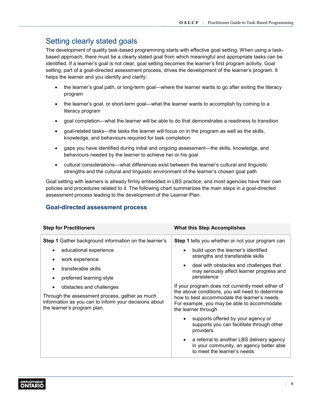# <span id="page-9-0"></span>Setting clearly stated goals

The development of quality task-based programming starts with effective goal setting. When using a taskbased approach, there must be a clearly stated goal from which meaningful and appropriate tasks can be identified. If a learner's goal is not clear, goal setting becomes the learner's first program activity. Goal setting, part of a goal-directed assessment process, drives the development of the learner's program. It helps the learner and you identify and clarify:

- the learner's goal path, or long-term goal—where the learner wants to go after exiting the literacy program
- the learner's goal, or short-term goal—what the learner wants to accomplish by coming to a literacy program
- goal completion—what the learner will be able to do that demonstrates a readiness to transition
- goal-related tasks—the tasks the learner will focus on in the program as well as the skills, knowledge, and behaviours required for task completion
- gaps you have identified during initial and ongoing assessment—the skills, knowledge, and behaviours needed by the learner to achieve her or his goal
- cultural considerations—what differences exist between the learner's cultural and linguistic strengths and the cultural and linguistic environment of the learner's chosen goal path

Goal setting with learners is already firmly embedded in LBS practice, and most agencies have their own policies and procedures related to it. The following chart summarizes the main steps in a goal-directed assessment process leading to the development of the Learner Plan.

### **Goal-directed assessment process**

| <b>Step for Practitioners</b>                                                                                                                                      | <b>What this Step Accomplishes</b>                                                                                                                                                                                          |  |
|--------------------------------------------------------------------------------------------------------------------------------------------------------------------|-----------------------------------------------------------------------------------------------------------------------------------------------------------------------------------------------------------------------------|--|
| <b>Step 1</b> Gather background information on the learner's                                                                                                       | Step 1 tells you whether or not your program can                                                                                                                                                                            |  |
| educational experience                                                                                                                                             | build upon the learner's identified<br>$\bullet$<br>strengths and transferable skills                                                                                                                                       |  |
| work experience                                                                                                                                                    |                                                                                                                                                                                                                             |  |
| transferable skills                                                                                                                                                | deal with obstacles and challenges that<br>$\bullet$<br>may seriously affect learner progress and                                                                                                                           |  |
| preferred learning style                                                                                                                                           | persistence                                                                                                                                                                                                                 |  |
| obstacles and challenges<br>Through the assessment process, gather as much<br>information as you can to inform your decisions about<br>the learner's program plan. | If your program does not currently meet either of<br>the above conditions, you will need to determine<br>how to best accommodate the learner's needs.<br>For example, you may be able to accommodate<br>the learner through |  |
|                                                                                                                                                                    |                                                                                                                                                                                                                             |  |
|                                                                                                                                                                    | a referral to another LBS delivery agency<br>$\bullet$<br>in your community, an agency better able<br>to meet the learner's needs                                                                                           |  |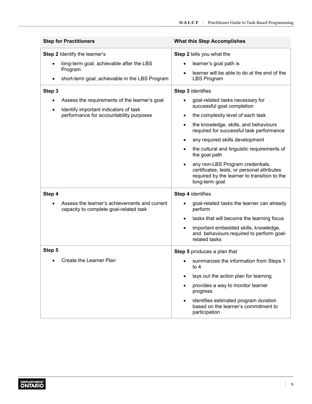| <b>Step for Practitioners</b>                                                                       | <b>What this Step Accomplishes</b>                                                                                                                |
|-----------------------------------------------------------------------------------------------------|---------------------------------------------------------------------------------------------------------------------------------------------------|
| Step 2 Identify the learner's                                                                       | Step 2 tells you what the                                                                                                                         |
| long-term goal, achievable after the LBS                                                            | learner's goal path is                                                                                                                            |
| Program<br>short-term goal, achievable in the LBS Program                                           | learner will be able to do at the end of the<br><b>LBS Program</b>                                                                                |
| Step 3                                                                                              | Step 3 identifies                                                                                                                                 |
| Assess the requirements of the learner's goal<br>Identify important indicators of task<br>$\bullet$ | goal-related tasks necessary for<br>successful goal completion                                                                                    |
| performance for accountability purposes                                                             | the complexity level of each task                                                                                                                 |
|                                                                                                     | the knowledge, skills, and behaviours<br>$\bullet$<br>required for successful task performance                                                    |
|                                                                                                     | any required skills development<br>$\bullet$                                                                                                      |
|                                                                                                     | the cultural and linguistic requirements of<br>the goal path                                                                                      |
|                                                                                                     | any non-LBS Program credentials,<br>certificates, tests, or personal attributes<br>required by the learner to transition to the<br>long-term goal |
| Step 4                                                                                              | Step 4 identifies                                                                                                                                 |
| Assess the learner's achievements and current<br>capacity to complete goal-related task             | goal-related tasks the learner can already<br>perform                                                                                             |
|                                                                                                     | tasks that will become the learning focus<br>$\bullet$                                                                                            |
|                                                                                                     | important embedded skills, knowledge,<br>$\bullet$<br>and behaviours required to perform goal-<br>related tasks                                   |
| Step 5                                                                                              | Step 5 produces a plan that                                                                                                                       |
| Create the Learner Plan                                                                             | summarizes the information from Steps 1<br>to $4$                                                                                                 |
|                                                                                                     | lays out the action plan for learning                                                                                                             |
|                                                                                                     | provides a way to monitor learner<br>$\bullet$<br>progress                                                                                        |
|                                                                                                     | identifies estimated program duration<br>based on the learner's commitment to<br>participation                                                    |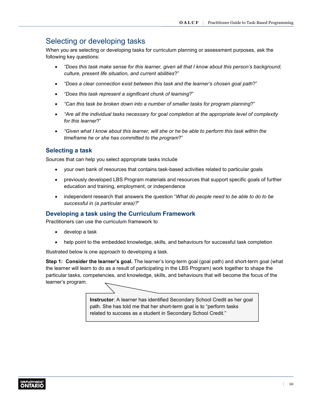# <span id="page-11-0"></span>Selecting or developing tasks

When you are selecting or developing tasks for curriculum planning or assessment purposes, ask the following key questions:

- *"Does this task make sense for this learner, given all that I know about this person's background, culture, present life situation, and current abilities*?"
- *"Does a clear connection exist between this task and the learner's chosen goal path*?"
- *"Does this task represent a significant chunk of learning*?"
- *"Can this task be broken down into a number of smaller tasks for program planning*?"
- *"Are all the individual tasks necessary for goal completion at the appropriate level of complexity for this learner*?"
- *"Given what I know about this learner, will she or he be able to perform this task within the timeframe he or she has committed to the program*?"

#### **Selecting a task**

Sources that can help you select appropriate tasks include

- your own bank of resources that contains task-based activities related to particular goals
- previously developed LBS Program materials and resources that support specific goals of further education and training, employment, or independence
- independent research that answers the question "*What do people need to be able to do to be successful in (a particular area)?*"

#### **Developing a task using the Curriculum Framework**

Practitioners can use the curriculum framework to

- develop a task
- help point to the embedded knowledge, skills, and behaviours for successful task completion

Illustrated below is one approach to developing a task.

**Step 1: Consider the learner's goal.** The learner's long-term goal (goal path) and short-term goal (what the learner will learn to do as a result of participating in the LBS Program) work together to shape the particular tasks, competencies, and knowledge, skills, and behaviours that will become the focus of the learner's program.

> **Instructor**: A learner has identified Secondary School Credit as her goal path. She has told me that her short-term goal is to "perform tasks related to success as a student in Secondary School Credit."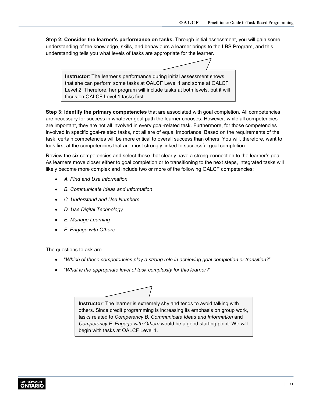**Step 2: Consider the learner's performance on tasks.** Through initial assessment, you will gain some understanding of the knowledge, skills, and behaviours a learner brings to the LBS Program, and this understanding tells you what levels of tasks are appropriate for the learner.



**Step 3: Identify the primary competencies** that are associated with goal completion. All competencies are necessary for success in whatever goal path the learner chooses. However, while all competencies are important, they are not all involved in every goal-related task. Furthermore, for those competencies involved in specific goal-related tasks, not all are of equal importance. Based on the requirements of the task, certain competencies will be more critical to overall success than others. You will, therefore, want to look first at the competencies that are most strongly linked to successful goal completion.

Review the six competencies and select those that clearly have a strong connection to the learner's goal. As learners move closer either to goal completion or to transitioning to the next steps, integrated tasks will likely become more complex and include two or more of the following OALCF competencies:

- *A. Find and Use Information*
- *B. Communicate Ideas and Information*
- *C. Understand and Use Numbers*
- *D. Use Digital Technology*
- *E. Manage Learning*
- *F. Engage with Others*

The questions to ask are

- "*Which of these competencies play a strong role in achieving goal completion or transition?*"
- "*What is the appropriate level of task complexity for this learner?*"

**Instructor**: The learner is extremely shy and tends to avoid talking with others. Since credit programming is increasing its emphasis on group work, tasks related to *Competency B. Communicate Ideas and Information* and *Competency F. Engage with Others* would be a good starting point. We will begin with tasks at OALCF Level 1.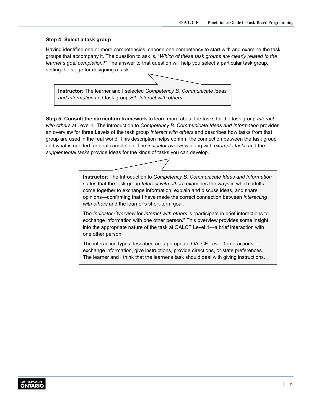#### **Step 4: Select a task group**

Having identified one or more competencies, choose one competency to start with and examine the task groups that accompany it. The question to ask is, "*Which of these task groups are clearly related to the learner's goal completion*?" The answer to that question will help you select a particular task group, setting the stage for designing a task.



**Step 5: Consult the curriculum framework** to learn more about the tasks for the task group *Interact with others* at Level 1. The introduction to *Competency B. Communicate Ideas and Information* provides an overview for three Levels of the task group *Interact with others* and describes how tasks from that group are used in the real world. This description helps confirm the connection between the task group and what is needed for goal completion. The *indicator overview* along with *example tasks* and the *supplemental tasks* provide ideas for the kinds of tasks you can develop.

> **Instructor**: The Introduction to *Competency B. Communicate Ideas and Information* states that the task group *Interact with others* examines the ways in which adults come together to exchange information, explain and discuss ideas, and share opinions—confirming that I have made the correct connection between *interacting with others* and the learner's short-term goal.

The *Indicator Overview* for *Interact with others* is "participate in brief interactions to exchange information with one other person." This overview provides some insight into the appropriate nature of the task at OALCF Level 1—a brief interaction with one other person.

The interaction types described are appropriate OALCF Level 1 interactions exchange information, give instructions, provide directions, or state preferences. The learner and I think that the learner's task should deal with giving instructions.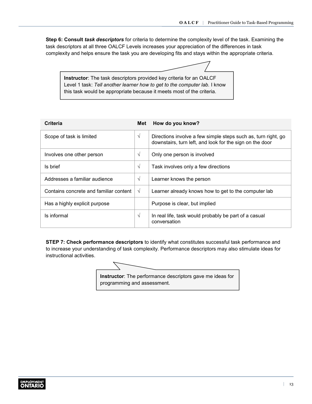**Step 6: Consult** *task descriptors* for criteria to determine the complexity level of the task. Examining the task descriptors at all three OALCF Levels increases your appreciation of the differences in task complexity and helps ensure the task you are developing fits and stays within the appropriate criteria.

**Instructor**: The task descriptors provided key criteria for an OALCF Level 1 task: *Tell another learner how to get to the computer lab.* I know this task would be appropriate because it meets most of the criteria.

| Criteria                               | Met        | How do you know?                                                                                                          |
|----------------------------------------|------------|---------------------------------------------------------------------------------------------------------------------------|
| Scope of task is limited               | $\sqrt{ }$ | Directions involve a few simple steps such as, turn right, go<br>downstairs, turn left, and look for the sign on the door |
| Involves one other person              | $\sqrt{ }$ | Only one person is involved                                                                                               |
| Is brief                               | $\sqrt{ }$ | Task involves only a few directions                                                                                       |
| Addresses a familiar audience          | $\sqrt{ }$ | Learner knows the person                                                                                                  |
| Contains concrete and familiar content | $\sqrt{ }$ | Learner already knows how to get to the computer lab                                                                      |
| Has a highly explicit purpose          |            | Purpose is clear, but implied                                                                                             |
| Is informal                            | $\sqrt{ }$ | In real life, task would probably be part of a casual<br>conversation                                                     |

**STEP 7: Check performance descriptors** to identify what constitutes successful task performance and to increase your understanding of task complexity. Performance descriptors may also stimulate ideas for instructional activities.

**Instructor**: The performance descriptors gave me ideas for programming and assessment.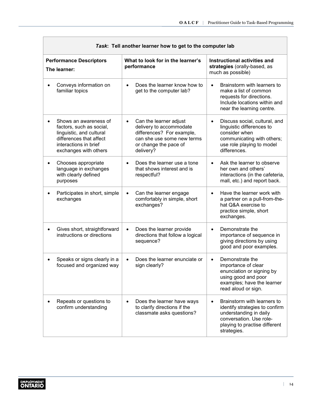| Task: Tell another learner how to get to the computer lab                                                                                                               |                                                                                                                                                                 |                                                                                                                                                                                 |
|-------------------------------------------------------------------------------------------------------------------------------------------------------------------------|-----------------------------------------------------------------------------------------------------------------------------------------------------------------|---------------------------------------------------------------------------------------------------------------------------------------------------------------------------------|
| <b>Performance Descriptors</b><br>The learner:                                                                                                                          | What to look for in the learner's<br>performance                                                                                                                | Instructional activities and<br>strategies (orally-based, as<br>much as possible)                                                                                               |
| Conveys information on<br>$\bullet$<br>familiar topics                                                                                                                  | Does the learner know how to<br>$\bullet$<br>get to the computer lab?                                                                                           | Brainstorm with learners to<br>$\bullet$<br>make a list of common<br>requests for directions.<br>Include locations within and<br>near the learning centre.                      |
| Shows an awareness of<br>$\bullet$<br>factors, such as social,<br>linguistic, and cultural<br>differences that affect<br>interactions in brief<br>exchanges with others | Can the learner adjust<br>$\bullet$<br>delivery to accommodate<br>differences? For example,<br>can she use some new terms<br>or change the pace of<br>delivery? | Discuss social, cultural, and<br>$\bullet$<br>linguistic differences to<br>consider when<br>communicating with others;<br>use role playing to model<br>differences.             |
| Chooses appropriate<br>$\bullet$<br>language in exchanges<br>with clearly defined<br>purposes                                                                           | Does the learner use a tone<br>$\bullet$<br>that shows interest and is<br>respectful?                                                                           | Ask the learner to observe<br>$\bullet$<br>her own and others'<br>interactions (in the cafeteria,<br>mall, etc.) and report back.                                               |
| Participates in short, simple<br>$\bullet$<br>exchanges                                                                                                                 | Can the learner engage<br>$\bullet$<br>comfortably in simple, short<br>exchanges?                                                                               | Have the learner work with<br>$\bullet$<br>a partner on a pull-from-the-<br>hat Q&A exercise to<br>practice simple, short<br>exchanges.                                         |
| Gives short, straightforward<br>$\bullet$<br>instructions or directions                                                                                                 | Does the learner provide<br>$\bullet$<br>directions that follow a logical<br>sequence?                                                                          | Demonstrate the<br>$\bullet$<br>importance of sequence in<br>giving directions by using<br>good and poor examples.                                                              |
| Speaks or signs clearly in a<br>$\bullet$<br>focused and organized way                                                                                                  | Does the learner enunciate or<br>$\bullet$<br>sign clearly?                                                                                                     | Demonstrate the<br>$\bullet$<br>importance of clear<br>enunciation or signing by<br>using good and poor<br>examples; have the learner<br>read aloud or sign.                    |
| Repeats or questions to<br>confirm understanding                                                                                                                        | Does the learner have ways<br>to clarify directions if the<br>classmate asks questions?                                                                         | Brainstorm with learners to<br>$\bullet$<br>identify strategies to confirm<br>understanding in daily<br>conversation. Use role-<br>playing to practise different<br>strategies. |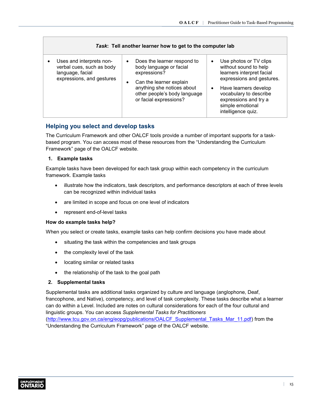<span id="page-16-0"></span>

| Task: Tell another learner how to get to the computer lab                                              |                                                                                                                                                                                                        |                                                                                                                                                                                                                                                           |
|--------------------------------------------------------------------------------------------------------|--------------------------------------------------------------------------------------------------------------------------------------------------------------------------------------------------------|-----------------------------------------------------------------------------------------------------------------------------------------------------------------------------------------------------------------------------------------------------------|
| Uses and interprets non-<br>verbal cues, such as body<br>language, facial<br>expressions, and gestures | Does the learner respond to<br>$\bullet$<br>body language or facial<br>expressions?<br>Can the learner explain<br>anything she notices about<br>other people's body language<br>or facial expressions? | Use photos or TV clips<br>$\bullet$<br>without sound to help<br>learners interpret facial<br>expressions and gestures.<br>Have learners develop<br>$\bullet$<br>vocabulary to describe<br>expressions and try a<br>simple emotional<br>intelligence quiz. |

#### **Helping you select and develop tasks**

The Curriculum Framework and other OALCF tools provide a number of important supports for a taskbased program. You can access most of these resources from the "Understanding the Curriculum Framework" page of the OALCF website.

#### **1. Example tasks**

Example tasks have been developed for each task group within each competency in the curriculum framework. Example tasks

- illustrate how the indicators, task descriptors, and performance descriptors at each of three levels can be recognized within individual tasks
- are limited in scope and focus on one level of indicators
- represent end-of-level tasks

#### **How do example tasks help?**

When you select or create tasks, example tasks can help confirm decisions you have made about

- situating the task within the competencies and task groups
- the complexity level of the task
- locating similar or related tasks
- the relationship of the task to the goal path

#### **2. Supplemental tasks**

Supplemental tasks are additional tasks organized by culture and language (anglophone, Deaf, francophone, and Native), competency, and level of task complexity. These tasks describe what a learner can do within a Level. Included are notes on cultural considerations for each of the four cultural and linguistic groups. You can access *Supplemental Tasks for Practitioners* [\(http://www.tcu.gov.on.ca/eng/eopg/publications/OALCF\\_Supplemental\\_Tasks\\_Mar\\_11.pdf](http://www.tcu.gov.on.ca/eng/eopg/publications/OALCF_Supplemental_Tasks_Mar_11.pdf)) from the

"Understanding the Curriculum Framework" page of the OALCF website.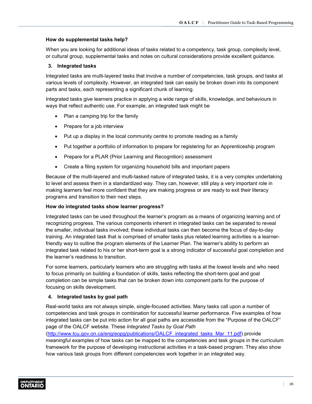#### **How do supplemental tasks help?**

When you are looking for additional ideas of tasks related to a competency, task group, complexity level, or cultural group, supplemental tasks and notes on cultural considerations provide excellent guidance.

#### **3. Integrated tasks**

Integrated tasks are multi-layered tasks that involve a number of competencies, task groups, and tasks at various levels of complexity. However, an integrated task can easily be broken down into its component parts and tasks, each representing a significant chunk of learning.

Integrated tasks give learners practice in applying a wide range of skills, knowledge, and behaviours in ways that reflect authentic use. For example, an integrated task might be

- Plan a camping trip for the family
- Prepare for a job interview
- Put up a display in the local community centre to promote reading as a family
- Put together a portfolio of information to prepare for registering for an Apprenticeship program
- Prepare for a PLAR (Prior Learning and Recognition) assessment
- Create a filing system for organizing household bills and important papers

Because of the multi-layered and multi-tasked nature of integrated tasks, it is a very complex undertaking to level and assess them in a standardized way. They can, however, still play a very important role in making learners feel more confident that they are making progress or are ready to exit their literacy programs and transition to their next steps.

#### **How do integrated tasks show learner progress?**

Integrated tasks can be used throughout the learner's program as a means of organizing learning and of recognizing progress. The various components inherent in integrated tasks can be separated to reveal the smaller, individual tasks involved; these individual tasks can then become the focus of day-to-day training. An integrated task that is comprised of smaller tasks plus related learning activities is a learnerfriendly way to outline the program elements of the Learner Plan. The learner's ability to perform an integrated task related to his or her short-term goal is a strong indicator of successful goal completion and the learner's readiness to transition.

For some learners, particularly learners who are struggling with tasks at the lowest levels and who need to focus primarily on building a foundation of skills, tasks reflecting the short-term goal and goal completion can be simple tasks that can be broken down into component parts for the purpose of focusing on skills development.

#### **4. Integrated tasks by goal path**

Real-world tasks are not always simple, single-focused activities. Many tasks call upon a number of competencies and task groups in combination for successful learner performance. Five examples of how integrated tasks can be put into action for all goal paths are accessible from the "Purpose of the OALCF" page of the OALCF website. These *Integrated Tasks by Goal Path*

[\(http://www.tcu.gov.on.ca/eng/eopg/publications/OALCF\\_integrated\\_tasks\\_Mar\\_11.pdf](http://www.tcu.gov.on.ca/eng/eopg/publications/OALCF_integrated_tasks_Mar_11.pdf)) provide meaningful examples of how tasks can be mapped to the competencies and task groups in the curriculum framework for the purpose of developing instructional activities in a task-based program. They also show how various task groups from different competencies work together in an integrated way.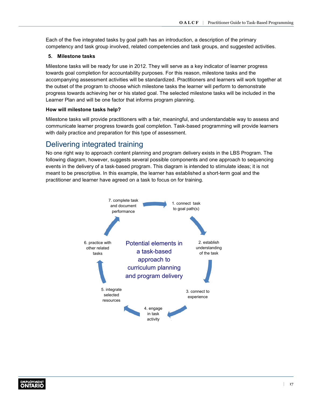<span id="page-18-0"></span>Each of the five integrated tasks by goal path has an introduction, a description of the primary competency and task group involved, related competencies and task groups, and suggested activities.

#### **5. Milestone tasks**

Milestone tasks will be ready for use in 2012. They will serve as a key indicator of learner progress towards goal completion for accountability purposes. For this reason, milestone tasks and the accompanying assessment activities will be standardized. Practitioners and learners will work together at the outset of the program to choose which milestone tasks the learner will perform to demonstrate progress towards achieving her or his stated goal. The selected milestone tasks will be included in the Learner Plan and will be one factor that informs program planning.

#### **How will milestone tasks help?**

Milestone tasks will provide practitioners with a fair, meaningful, and understandable way to assess and communicate learner progress towards goal completion. Task-based programming will provide learners with daily practice and preparation for this type of assessment.

# Delivering integrated training

No one right way to approach content planning and program delivery exists in the LBS Program. The following diagram, however, suggests several possible components and one approach to sequencing events in the delivery of a task-based program. This diagram is intended to stimulate ideas; it is not meant to be prescriptive. In this example, the learner has established a short-term goal and the practitioner and learner have agreed on a task to focus on for training.



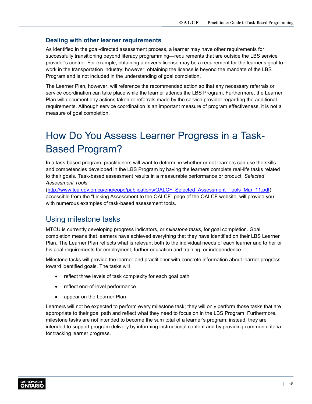#### <span id="page-19-0"></span>**Dealing with other learner requirements**

As identified in the goal-directed assessment process, a learner may have other requirements for successfully transitioning beyond literacy programming—requirements that are outside the LBS service provider's control. For example, obtaining a driver's license may be a requirement for the learner's goal to work in the transportation industry; however, obtaining the license is beyond the mandate of the LBS Program and is not included in the understanding of goal completion.

The Learner Plan, however, will reference the recommended action so that any necessary referrals or service coordination can take place while the learner attends the LBS Program. Furthermore, the Learner Plan will document any actions taken or referrals made by the service provider regarding the additional requirements. Although service coordination is an important measure of program effectiveness, it is not a measure of goal completion.

# How Do You Assess Learner Progress in a Task-Based Program?

In a task-based program, practitioners will want to determine whether or not learners can use the skills and competencies developed in the LBS Program by having the learners complete real-life tasks related to their goals. Task-based assessment results in a measurable performance or product. *Selected Assessment Tools*

[\(http://www.tcu.gov.on.ca/eng/eopg/publications/OALCF\\_Selected\\_Assessment\\_Tools\\_Mar\\_11.pdf](http://www.tcu.gov.on.ca/eng/eopg/publications/OALCF_Selected_Assessment_Tools_Mar_11.pdf)), accessible from the "Linking Assessment to the OALCF" page of the OALCF website, will provide you with numerous examples of task-based assessment tools.

# Using milestone tasks

MTCU is currently developing progress indicators, or *milestone tasks*, for goal completion. Goal completion means that learners have achieved everything that they have identified on their LBS Learner Plan. The Learner Plan reflects what is relevant both to the individual needs of each learner and to her or his goal requirements for employment, further education and training, or independence.

Milestone tasks will provide the learner and practitioner with concrete information about learner progress toward identified goals. The tasks will

- reflect three levels of task complexity for each goal path
- reflect end-of-level performance
- appear on the Learner Plan

Learners will not be expected to perform every milestone task; they will only perform those tasks that are appropriate to their goal path and reflect what they need to focus on in the LBS Program. Furthermore, milestone tasks are not intended to become the sum total of a learner's program; instead, they are intended to support program delivery by informing instructional content and by providing common criteria for tracking learner progress.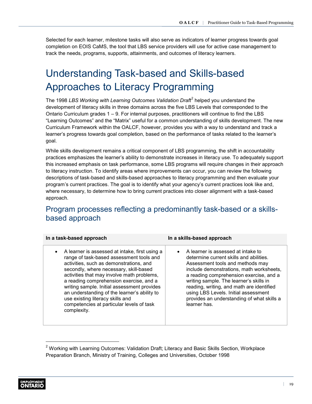<span id="page-20-0"></span>Selected for each learner, milestone tasks will also serve as indicators of learner progress towards goal completion on EOIS CaMS, the tool that LBS service providers will use for active case management to track the needs, programs, supports, attainments, and outcomes of literacy learners.

# Understanding Task-based and Skills-based Approaches to Literacy Programming

The 1998 *LBS Working with Learning Outcomes Validation Draft*<sup>2</sup> helped you understand the development of literacy skills in three domains across the five LBS Levels that corresponded to the Ontario Curriculum grades 1 – 9. For internal purposes, practitioners will continue to find the LBS "Learning Outcomes" and the "Matrix" useful for a common understanding of skills development. The new Curriculum Framework within the OALCF, however, provides you with a way to understand and track a learner's progress towards goal completion, based on the performance of tasks related to the learner's goal.

While skills development remains a critical component of LBS programming, the shift in accountability practices emphasizes the learner's ability to demonstrate increases in literacy use. To adequately support this increased emphasis on task performance, some LBS programs will require changes in their approach to literacy instruction. To identify areas where improvements can occur, you can review the following descriptions of task-based and skills-based approaches to literacy programming and then evaluate your program's current practices. The goal is to identify what your agency's current practices look like and, where necessary, to determine how to bring current practices into closer alignment with a task-based approach.

# Program processes reflecting a predominantly task-based or a skillsbased approach

| In a task-based approach                                                                                                                                                                                                                                                                                                                                                                                                                                                  | In a skills-based approach                                                                                                                                                                                                                                                                                                                                                                                       |
|---------------------------------------------------------------------------------------------------------------------------------------------------------------------------------------------------------------------------------------------------------------------------------------------------------------------------------------------------------------------------------------------------------------------------------------------------------------------------|------------------------------------------------------------------------------------------------------------------------------------------------------------------------------------------------------------------------------------------------------------------------------------------------------------------------------------------------------------------------------------------------------------------|
| • A learner is assessed at intake, first using a<br>range of task-based assessment tools and<br>activities, such as demonstrations, and<br>secondly, where necessary, skill-based<br>activities that may involve math problems,<br>a reading comprehension exercise, and a<br>writing sample. Initial assessment provides<br>an understanding of the learner's ability to<br>use existing literacy skills and<br>competencies at particular levels of task<br>complexity. | $\bullet$ A learner is assessed at intake to<br>determine current skills and abilities.<br>Assessment tools and methods may<br>include demonstrations, math worksheets,<br>a reading comprehension exercise, and a<br>writing sample. The learner's skills in<br>reading, writing, and math are identified<br>using LBS Levels. Initial assessment<br>provides an understanding of what skills a<br>learner has. |
|                                                                                                                                                                                                                                                                                                                                                                                                                                                                           |                                                                                                                                                                                                                                                                                                                                                                                                                  |

<sup>&</sup>lt;sup>2</sup> Working with Learning Outcomes: Validation Draft; Literacy and Basic Skills Section, Workplace Preparation Branch, Ministry of Training, Colleges and Universities, October 1998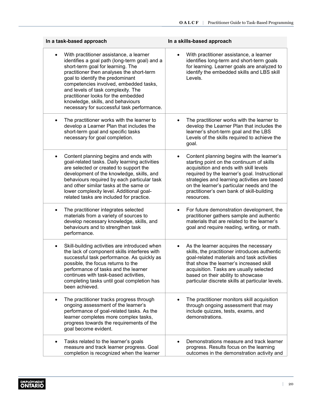|           | In a task-based approach                                                                                                                                                                                                                                                                                                                                                                                                 | In a skills-based approach                                                                                                                                                                                                                                                                                                                              |
|-----------|--------------------------------------------------------------------------------------------------------------------------------------------------------------------------------------------------------------------------------------------------------------------------------------------------------------------------------------------------------------------------------------------------------------------------|---------------------------------------------------------------------------------------------------------------------------------------------------------------------------------------------------------------------------------------------------------------------------------------------------------------------------------------------------------|
|           | With practitioner assistance, a learner<br>identifies a goal path (long-term goal) and a<br>short-term goal for learning. The<br>practitioner then analyses the short-term<br>goal to identify the predominant<br>competencies involved, embedded tasks,<br>and levels of task complexity. The<br>practitioner looks for the embedded<br>knowledge, skills, and behaviours<br>necessary for successful task performance. | With practitioner assistance, a learner<br>$\bullet$<br>identifies long-term and short-term goals<br>for learning. Learner goals are analyzed to<br>identify the embedded skills and LBS skill<br>Levels.                                                                                                                                               |
|           | The practitioner works with the learner to<br>develop a Learner Plan that includes the<br>short-term goal and specific tasks<br>necessary for goal completion.                                                                                                                                                                                                                                                           | The practitioner works with the learner to<br>$\bullet$<br>develop the Learner Plan that includes the<br>learner's short-term goal and the LBS<br>Levels of the skills required to achieve the<br>goal.                                                                                                                                                 |
| $\bullet$ | Content planning begins and ends with<br>goal-related tasks. Daily learning activities<br>are selected or created to support the<br>development of the knowledge, skills, and<br>behaviours required by each particular task<br>and other similar tasks at the same or<br>lower complexity level. Additional goal-<br>related tasks are included for practice.                                                           | Content planning begins with the learner's<br>$\bullet$<br>starting point on the continuum of skills<br>acquisition and ends with skill levels<br>required by the learner's goal. Instructional<br>strategies and learning activities are based<br>on the learner's particular needs and the<br>practitioner's own bank of skill-building<br>resources. |
| $\bullet$ | The practitioner integrates selected<br>materials from a variety of sources to<br>develop necessary knowledge, skills, and<br>behaviours and to strengthen task<br>performance.                                                                                                                                                                                                                                          | For future demonstration development, the<br>$\bullet$<br>practitioner gathers sample and authentic<br>materials that are related to the learner's<br>goal and require reading, writing, or math.                                                                                                                                                       |
| $\bullet$ | Skill-building activities are introduced when<br>the lack of component skills interferes with<br>successful task performance. As quickly as<br>possible, the focus returns to the<br>performance of tasks and the learner<br>continues with task-based activities,<br>completing tasks until goal completion has<br>been achieved.                                                                                       | As the learner acquires the necessary<br>$\bullet$<br>skills, the practitioner introduces authentic<br>goal-related materials and task activities<br>that show the learner's increased skill<br>acquisition. Tasks are usually selected<br>based on their ability to showcase<br>particular discrete skills at particular levels.                       |
|           | The practitioner tracks progress through<br>ongoing assessment of the learner's<br>performance of goal-related tasks. As the<br>learner completes more complex tasks,<br>progress towards the requirements of the<br>goal become evident.                                                                                                                                                                                | The practitioner monitors skill acquisition<br>through ongoing assessment that may<br>include quizzes, tests, exams, and<br>demonstrations.                                                                                                                                                                                                             |
|           | Tasks related to the learner's goals<br>measure and track learner progress. Goal<br>completion is recognized when the learner                                                                                                                                                                                                                                                                                            | Demonstrations measure and track learner<br>progress. Results focus on the learning<br>outcomes in the demonstration activity and                                                                                                                                                                                                                       |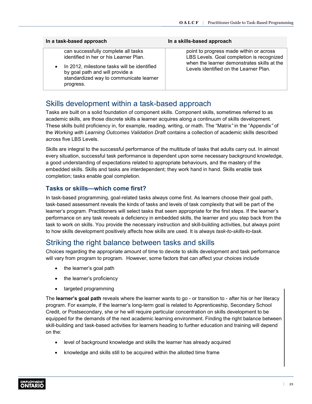<span id="page-22-0"></span>

| In a task-based approach                                                                                                                                                                                                  | In a skills-based approach                                                                                                                                                    |
|---------------------------------------------------------------------------------------------------------------------------------------------------------------------------------------------------------------------------|-------------------------------------------------------------------------------------------------------------------------------------------------------------------------------|
| can successfully complete all tasks<br>identified in her or his Learner Plan.<br>• In 2012, milestone tasks will be identified<br>by goal path and will provide a<br>standardized way to communicate learner<br>progress. | point to progress made within or across<br>LBS Levels. Goal completion is recognized<br>when the learner demonstrates skills at the<br>Levels identified on the Learner Plan. |

# Skills development within a task-based approach

Tasks are built on a solid foundation of component skills. Component skills, sometimes referred to as academic skills, are those discrete skills a learner acquires along a continuum of skills development. These skills build proficiency in, for example, reading, writing, or math. The "Matrix*"* in the "Appendix*"* of the *Working with Learning Outcomes Validation Draft* contains a collection of academic skills described across five LBS Levels.

Skills are integral to the successful performance of the multitude of tasks that adults carry out. In almost every situation, successful task performance is dependent upon some necessary background knowledge, a good understanding of expectations related to appropriate behaviours, and the mastery of the embedded skills. Skills and tasks are interdependent; they work hand in hand. Skills enable task completion; tasks enable goal completion.

### **Tasks or skills—which come first?**

In task-based programming, goal-related tasks always come first. As learners choose their goal path, task-based assessment reveals the kinds of tasks and levels of task complexity that will be part of the learner's program. Practitioners will select tasks that seem appropriate for the first steps. If the learner's performance on any task reveals a deficiency in embedded skills, the learner and you step back from the task to work on skills. You provide the necessary instruction and skill-building activities, but always point to how skills development positively affects how skills are used. It is always *task-to-skills-to-task*.

# Striking the right balance between tasks and skills

Choices regarding the appropriate amount of time to devote to skills development and task performance will vary from program to program. However, some factors that can affect your choices include

- the learner's goal path
- the learner's proficiency
- targeted programming

The **learner's goal path** reveals where the learner wants to go - or transition to - after his or her literacy program. For example, if the learner's long-term goal is related to Apprenticeship, Secondary School Credit, or Postsecondary, she or he will require particular concentration on skills development to be equipped for the demands of the next academic learning environment. Finding the right balance between skill-building and task-based activities for learners heading to further education and training will depend on the:

- level of background knowledge and skills the learner has already acquired
- knowledge and skills still to be acquired within the allotted time frame